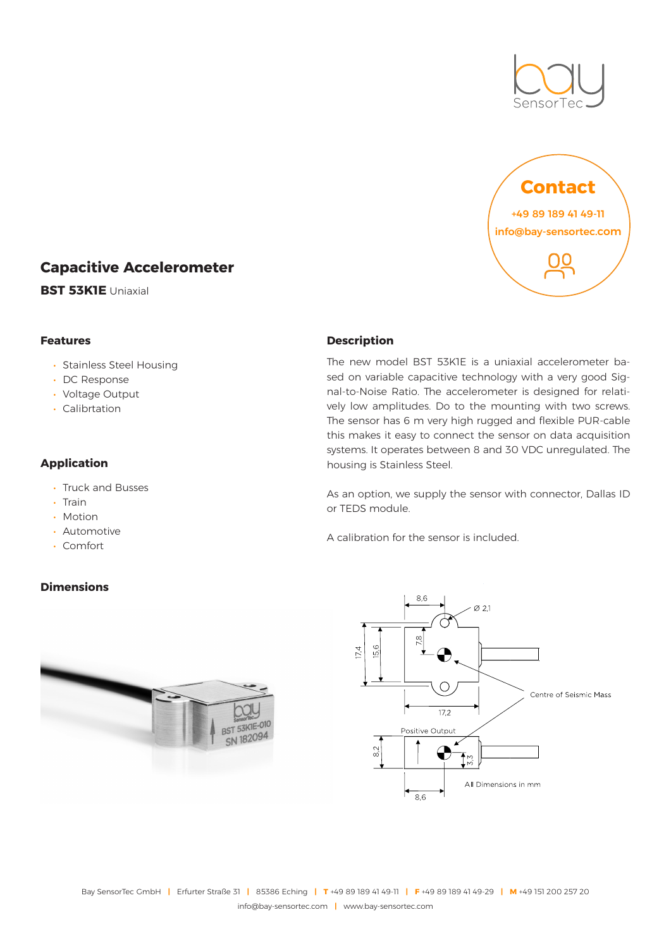



# **Capacitive Accelerometer**

**BST 53K1E** Uniaxial

## **Features**

- Stainless Steel Housing
- DC Response
- Voltage Output
- Calibrtation

# **Application**

- Truck and Busses
- Train
- Motion
- Automotive
- Comfort

# **Dimensions**



## **Description**

The new model BST 53K1E is a uniaxial accelerometer based on variable capacitive technology with a very good Signal-to-Noise Ratio. The accelerometer is designed for relatively low amplitudes. Do to the mounting with two screws. The sensor has 6 m very high rugged and flexible PUR-cable this makes it easy to connect the sensor on data acquisition systems. It operates between 8 and 30 VDC unregulated. The housing is Stainless Steel.

As an option, we supply the sensor with connector, Dallas ID or TEDS module.

A calibration for the sensor is included.